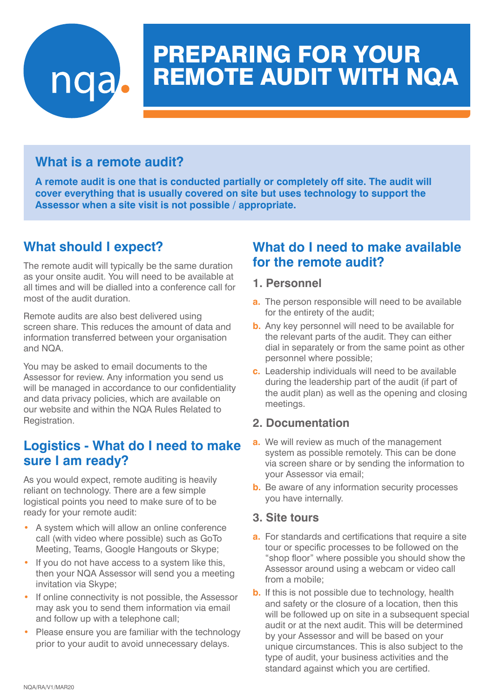

# PREPARING FOR YOUR REMOTE AUDIT WITH NQA

## **What is a remote audit?**

**A remote audit is one that is conducted partially or completely off site. The audit will cover everything that is usually covered on site but uses technology to support the Assessor when a site visit is not possible / appropriate.** 

## **What should I expect?**

The remote audit will typically be the same duration as your onsite audit. You will need to be available at all times and will be dialled into a conference call for most of the audit duration.

Remote audits are also best delivered using screen share. This reduces the amount of data and information transferred between your organisation and NQA.

You may be asked to email documents to the Assessor for review. Any information you send us will be managed in accordance to our confidentiality and data privacy policies, which are available on our website and within the NQA Rules Related to Registration.

## **Logistics - What do I need to make sure I am ready?**

As you would expect, remote auditing is heavily reliant on technology. There are a few simple logistical points you need to make sure of to be ready for your remote audit:

- A system which will allow an online conference call (with video where possible) such as GoTo Meeting, Teams, Google Hangouts or Skype;
- If you do not have access to a system like this, then your NQA Assessor will send you a meeting invitation via Skype;
- If online connectivity is not possible, the Assessor may ask you to send them information via email and follow up with a telephone call;
- Please ensure you are familiar with the technology prior to your audit to avoid unnecessary delays.

## **What do I need to make available for the remote audit?**

#### **1. Personnel**

- **a.** The person responsible will need to be available for the entirety of the audit;
- **b.** Any key personnel will need to be available for the relevant parts of the audit. They can either dial in separately or from the same point as other personnel where possible;
- **c.** Leadership individuals will need to be available during the leadership part of the audit (if part of the audit plan) as well as the opening and closing meetings.

#### **2. Documentation**

- **a.** We will review as much of the management system as possible remotely. This can be done via screen share or by sending the information to your Assessor via email;
- **b.** Be aware of any information security processes you have internally.

#### **3. Site tours**

- **a.** For standards and certifications that require a site tour or specific processes to be followed on the "shop floor" where possible you should show the Assessor around using a webcam or video call from a mobile;
- **b.** If this is not possible due to technology, health and safety or the closure of a location, then this will be followed up on site in a subsequent special audit or at the next audit. This will be determined by your Assessor and will be based on your unique circumstances. This is also subject to the type of audit, your business activities and the standard against which you are certified.